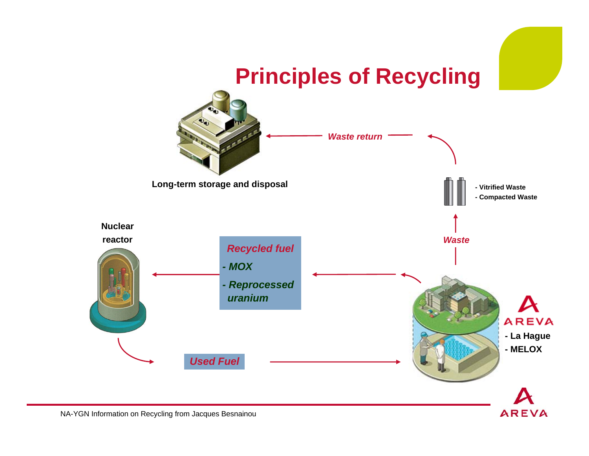

NA-YGN Information on Recycling from Jacques Besnainou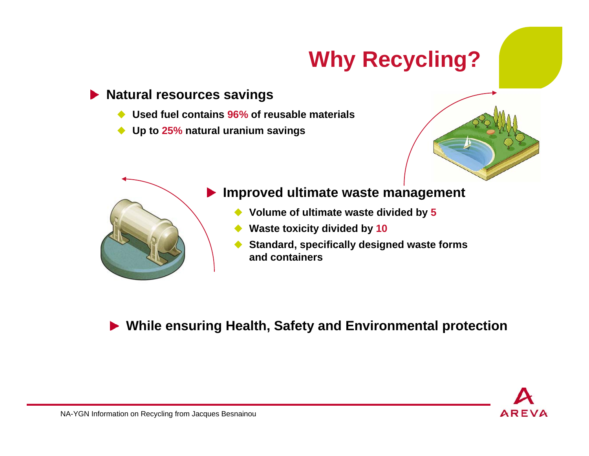# **Why Recycling?**

#### **Natural resources savings**

- ♦ **Used fuel contains 96% of reusable materials**
- ◆ **Up to 25% natural uranium savings**





#### **Improved ultimate waste management**

- ◆ ◆ Volume of ultimate waste divided by 5
- ♦ **Waste toxicity divided by 10**
- ◆ **Standard, specifically designed waste forms and containers**

**While ensuring Health, Safety and Environmental protection**

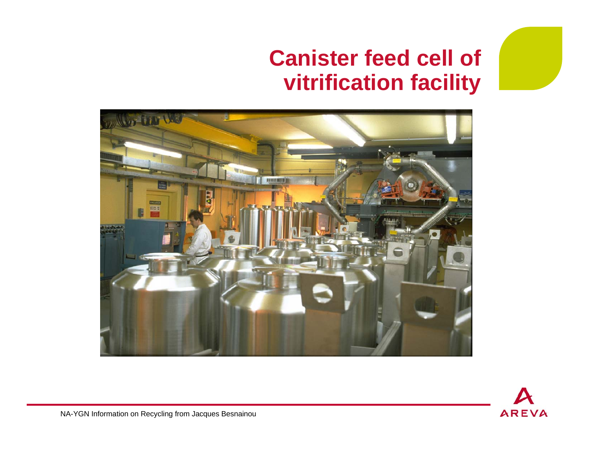### **Canister feed cell of vitrification facility**





NA-YGN Information on Recycling from Jacques Besnainou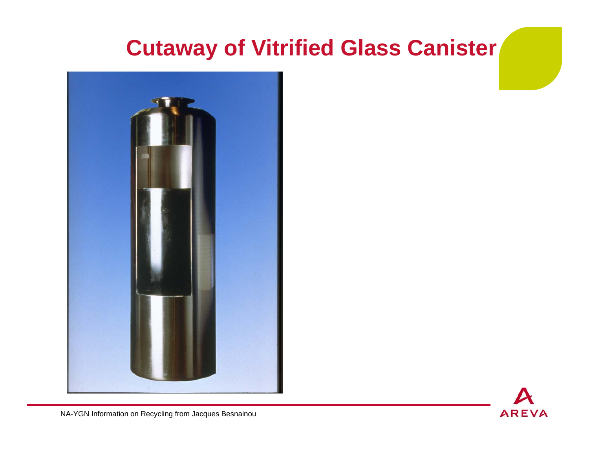# **Cutaway of Vitrified Glass Canister**





NA-YGN Information on Recycling from Jacques Besnainou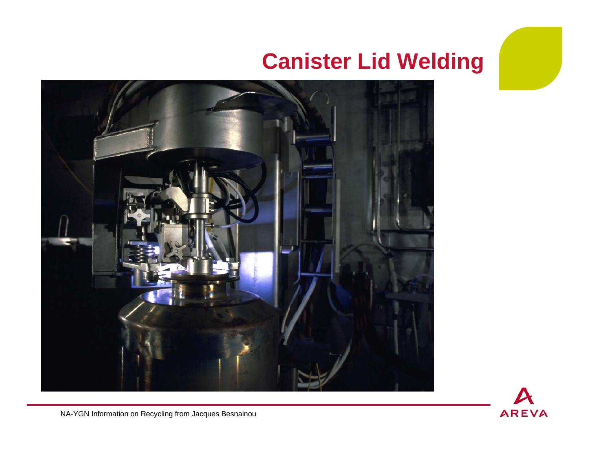## **Canister Lid Welding**



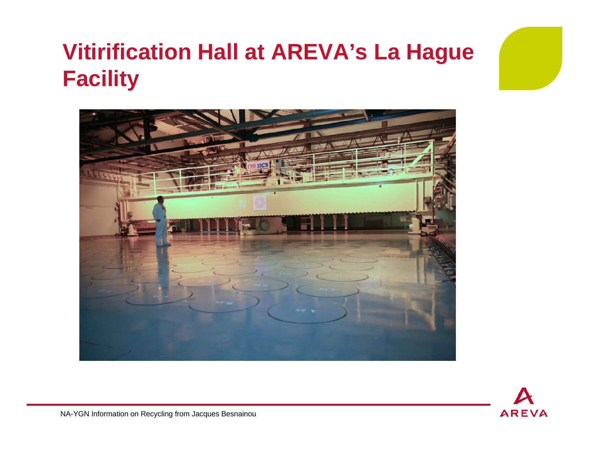# **Vitirification Hall at AREVA's La Hague Facility**